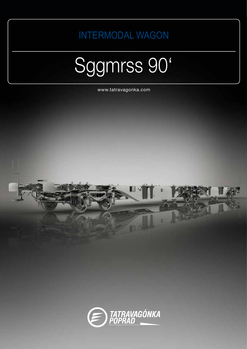**INTERMODAL WAGON** 

## Sggmrss 90'

www.tatravagonka.com